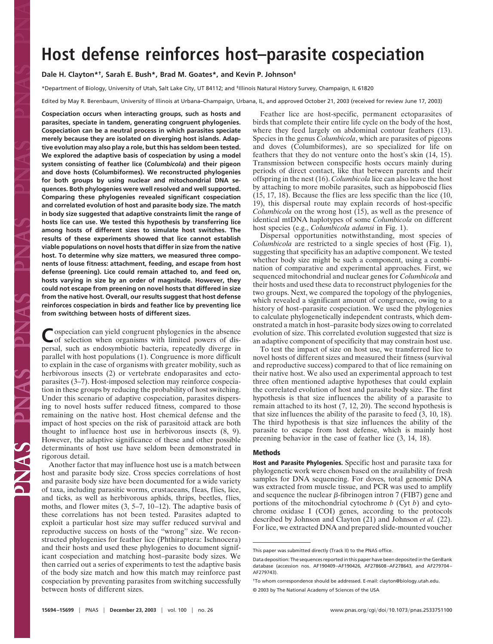## **Host defense reinforces host–parasite cospeciation**

**Dale H. Clayton\*†, Sarah E. Bush\*, Brad M. Goates\*, and Kevin P. Johnson‡**

\*Department of Biology, University of Utah, Salt Lake City, UT 84112; and ‡Illinois Natural History Survey, Champaign, IL 61820

Edited by May R. Berenbaum, University of Illinois at Urbana–Champaign, Urbana, IL, and approved October 21, 2003 (received for review June 17, 2003)

**Cospeciation occurs when interacting groups, such as hosts and parasites, speciate in tandem, generating congruent phylogenies. Cospeciation can be a neutral process in which parasites speciate merely because they are isolated on diverging host islands. Adaptive evolution may also play a role, but this has seldom been tested. We explored the adaptive basis of cospeciation by using a model system consisting of feather lice (***Columbicola***) and their pigeon and dove hosts (Columbiformes). We reconstructed phylogenies for both groups by using nuclear and mitochondrial DNA sequences. Both phylogenies were well resolved and well supported. Comparing these phylogenies revealed significant cospeciation and correlated evolution of host and parasite body size. The match in body size suggested that adaptive constraints limit the range of hosts lice can use. We tested this hypothesis by transferring lice among hosts of different sizes to simulate host switches. The results of these experiments showed that lice cannot establish viable populations on novel hosts that differ in size from the native host. To determine why size matters, we measured three components of louse fitness: attachment, feeding, and escape from host defense (preening). Lice could remain attached to, and feed on, hosts varying in size by an order of magnitude. However, they could not escape from preening on novel hosts that differed in size from the native host. Overall, our results suggest that host defense reinforces cospeciation in birds and feather lice by preventing lice from switching between hosts of different sizes.**

Cospeciation can yield congruent phylogenies in the absence of selection when organisms with limited powers of dispersal, such as endosymbiotic bacteria, repeatedly diverge in parallel with host populations (1). Congruence is more difficult to explain in the case of organisms with greater mobility, such as herbivorous insects (2) or vertebrate endoparasites and ectoparasites (3–7). Host-imposed selection may reinforce cospeciation in these groups by reducing the probability of host switching. Under this scenario of adaptive cospeciation, parasites dispersing to novel hosts suffer reduced fitness, compared to those remaining on the native host. Host chemical defense and the impact of host species on the risk of parasitoid attack are both thought to influence host use in herbivorous insects (8, 9). However, the adaptive significance of these and other possible determinants of host use have seldom been demonstrated in rigorous detail.

Another factor that may influence host use is a match between host and parasite body size. Cross species correlations of host and parasite body size have been documented for a wide variety of taxa, including parasitic worms, crustaceans, fleas, flies, lice, and ticks, as well as herbivorous aphids, thrips, beetles, flies, moths, and flower mites (3, 5–7, 10–12). The adaptive basis of these correlations has not been tested. Parasites adapted to exploit a particular host size may suffer reduced survival and reproductive success on hosts of the ''wrong'' size. We reconstructed phylogenies for feather lice (Phthiraptera: Ischnocera) and their hosts and used these phylogenies to document significant cospeciation and matching host–parasite body sizes. We then carried out a series of experiments to test the adaptive basis of the body size match and how this match may reinforce past cospeciation by preventing parasites from switching successfully between hosts of different sizes.

Feather lice are host-specific, permanent ectoparasites of birds that complete their entire life cycle on the body of the host, where they feed largely on abdominal contour feathers (13). Species in the genus *Columbicola*, which are parasites of pigeons and doves (Columbiformes), are so specialized for life on feathers that they do not venture onto the host's skin (14, 15). Transmission between conspecific hosts occurs mainly during periods of direct contact, like that between parents and their offspring in the nest (16). *Columbicola* lice can also leave the host by attaching to more mobile parasites, such as hippoboscid flies (15, 17, 18). Because the flies are less specific than the lice (10, 19), this dispersal route may explain records of host-specific *Columbicola* on the wrong host (15), as well as the presence of identical mtDNA haplotypes of some *Columbicola* on different host species (e.g., *Columbicola adamsi* in Fig. 1).

Dispersal opportunities notwithstanding, most species of *Columbicola* are restricted to a single species of host (Fig. 1), suggesting that specificity has an adaptive component. We tested whether body size might be such a component, using a combination of comparative and experimental approaches. First, we sequenced mitochondrial and nuclear genes for *Columbicola* and their hosts and used these data to reconstruct phylogenies for the two groups. Next, we compared the topology of the phylogenies, which revealed a significant amount of congruence, owing to a history of host–parasite cospeciation. We used the phylogenies to calculate phylogenetically independent contrasts, which demonstrated a match in host–parasite body sizes owing to correlated evolution of size. This correlated evolution suggested that size is an adaptive component of specificity that may constrain host use.

To test the impact of size on host use, we transferred lice to novel hosts of different sizes and measured their fitness (survival and reproductive success) compared to that of lice remaining on their native host. We also used an experimental approach to test three often mentioned adaptive hypotheses that could explain the correlated evolution of host and parasite body size. The first hypothesis is that size influences the ability of a parasite to remain attached to its host (7, 12, 20). The second hypothesis is that size influences the ability of the parasite to feed (3, 10, 18). The third hypothesis is that size influences the ability of the parasite to escape from host defense, which is mainly host preening behavior in the case of feather lice (3, 14, 18).

## **Methods**

**Host and Parasite Phylogenies.** Specific host and parasite taxa for phylogenetic work were chosen based on the availability of fresh samples for DNA sequencing. For doves, total genomic DNA was extracted from muscle tissue, and PCR was used to amplify and sequence the nuclear  $\beta$ -fibrinogen intron 7 (FIB7) gene and portions of the mitochondrial cytochrome *b* (Cyt *b*) and cytochrome oxidase I (COI) genes, according to the protocols described by Johnson and Clayton (21) and Johnson *et al.* (22). For lice, we extracted DNA and prepared slide-mounted voucher

This paper was submitted directly (Track II) to the PNAS office.

Data deposition: The sequences reported in this paper have been deposited in the GenBank database (accession nos. AF190409–AF190426, AF278608–AF278643, and AF279704– AF279743).

<sup>†</sup>To whom correspondence should be addressed. E-mail: clayton@biology.utah.edu.

<sup>© 2003</sup> by The National Academy of Sciences of the USA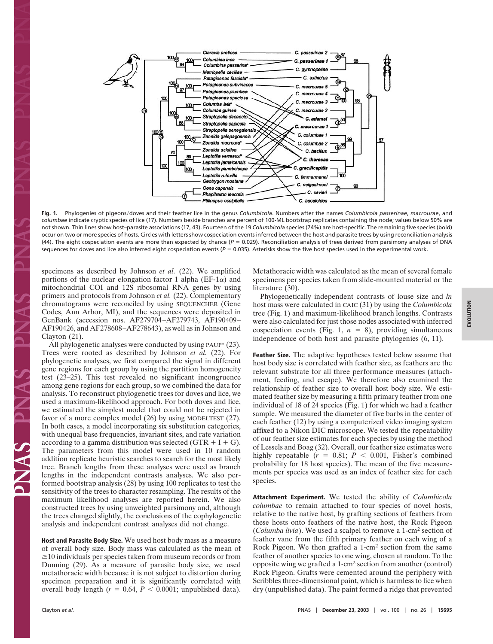

Fig. 1. Phylogenies of pigeons/doves and their feather lice in the genus *Columbicola*. Numbers after the names *Columbicola passerinae*, *macrourae*, and *columbae* indicate cryptic species of lice (17). Numbers beside branches are percent of 100-ML bootstrap replicates containing the node; values below 50% are not shown. Thin lines show host–parasite associations (17, 43). Fourteen of the 19 *Columbicola* species (74%) are host-specific. The remaining five species (bold) occur on two or more species of hosts. Circles with letters show cospeciation events inferred between the host and parasite trees by using reconciliation analysis (44). The eight cospeciation events are more than expected by chance (P = 0.029). Reconciliation analysis of trees derived from parsimony analyses of DNA sequences for doves and lice also inferred eight cospeciation events (P = 0.035). Asterisks show the five host species used in the experimental work.

specimens as described by Johnson *et al.* (22). We amplified portions of the nuclear elongation factor 1 alpha (EF-1 $\alpha$ ) and mitochondrial COI and 12S ribosomal RNA genes by using primers and protocols from Johnson *et al.* (22). Complementary chromatograms were reconciled by using SEQUENCHER (Gene Codes, Ann Arbor, MI), and the sequences were deposited in GenBank (accession nos. AF279704–AF279743, AF190409– AF190426, and AF278608–AF278643), as well as in Johnson and Clayton (21).

All phylogenetic analyses were conducted by using PAUP\* (23). Trees were rooted as described by Johnson *et al.* (22). For phylogenetic analyses, we first compared the signal in different gene regions for each group by using the partition homogeneity test (23–25). This test revealed no significant incongruence among gene regions for each group, so we combined the data for analysis. To reconstruct phylogenetic trees for doves and lice, we used a maximum-likelihood approach. For both doves and lice, we estimated the simplest model that could not be rejected in favor of a more complex model (26) by using MODELTEST (27). In both cases, a model incorporating six substitution categories, with unequal base frequencies, invariant sites, and rate variation according to a gamma distribution was selected (GTR  $+$  I  $+$  G). The parameters from this model were used in 10 random addition replicate heuristic searches to search for the most likely tree. Branch lengths from these analyses were used as branch lengths in the independent contrasts analyses. We also performed bootstrap analysis (28) by using 100 replicates to test the sensitivity of the trees to character resampling. The results of the maximum likelihood analyses are reported herein. We also constructed trees by using unweighted parsimony and, although the trees changed slightly, the conclusions of the cophylogenetic analysis and independent contrast analyses did not change.

**Host and Parasite Body Size.** We used host body mass as a measure of overall body size. Body mass was calculated as the mean of  $\geq$ 10 individuals per species taken from museum records or from Dunning (29). As a measure of parasite body size, we used metathoracic width because it is not subject to distortion during specimen preparation and it is significantly correlated with overall body length  $(r = 0.64, P < 0.0001;$  unpublished data).

Metathoracic width was calculated as the mean of several female specimens per species taken from slide-mounted material or the literature (30).

Phylogenetically independent contrasts of louse size and *ln* host mass were calculated in CAIC (31) by using the *Columbicola* tree (Fig. 1) and maximum-likelihood branch lengths. Contrasts were also calculated for just those nodes associated with inferred cospeciation events (Fig. 1,  $n = 8$ ), providing simultaneous independence of both host and parasite phylogenies (6, 11).

**Feather Size.** The adaptive hypotheses tested below assume that host body size is correlated with feather size, as feathers are the relevant substrate for all three performance measures (attachment, feeding, and escape). We therefore also examined the relationship of feather size to overall host body size. We estimated feather size by measuring a fifth primary feather from one individual of 18 of 24 species (Fig. 1) for which we had a feather sample. We measured the diameter of five barbs in the center of each feather (12) by using a computerized video imaging system affixed to a Nikon DIC microscope. We tested the repeatability of our feather size estimates for each species by using the method of Lessels and Boag (32). Overall, our feather size estimates were highly repeatable  $(r = 0.81; P < 0.001,$  Fisher's combined probability for 18 host species). The mean of the five measurements per species was used as an index of feather size for each species.

**Attachment Experiment.** We tested the ability of *Columbicola columbae* to remain attached to four species of novel hosts, relative to the native host, by grafting sections of feathers from these hosts onto feathers of the native host, the Rock Pigeon (*Columba livia*). We used a scalpel to remove a 1-cm<sup>2</sup> section of feather vane from the fifth primary feather on each wing of a Rock Pigeon. We then grafted a 1-cm<sup>2</sup> section from the same feather of another species to one wing, chosen at random. To the opposite wing we grafted a 1-cm<sup>2</sup> section from another (control) Rock Pigeon. Grafts were cemented around the periphery with Scribbles three-dimensional paint, which is harmless to lice when dry (unpublished data). The paint formed a ridge that prevented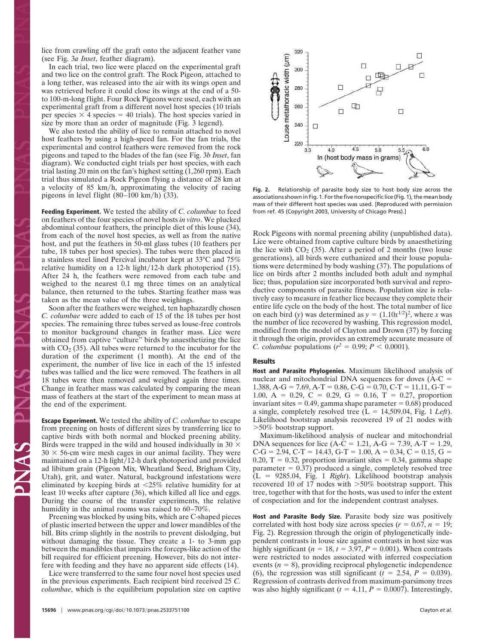lice from crawling off the graft onto the adjacent feather vane (see Fig. 3*a Inset*, feather diagram).

In each trial, two lice were placed on the experimental graft and two lice on the control graft. The Rock Pigeon, attached to a long tether, was released into the air with its wings open and was retrieved before it could close its wings at the end of a 50 to 100-m-long flight. Four Rock Pigeons were used, each with an experimental graft from a different novel host species (10 trials per species  $\times$  4 species = 40 trials). The host species varied in size by more than an order of magnitude (Fig. 3 legend).

We also tested the ability of lice to remain attached to novel host feathers by using a high-speed fan. For the fan trials, the experimental and control feathers were removed from the rock pigeons and taped to the blades of the fan (see Fig. 3*b Inset*, fan diagram). We conducted eight trials per host species, with each trial lasting 20 min on the fan's highest setting (1,260 rpm). Each trial thus simulated a Rock Pigeon flying a distance of 28 km at a velocity of 85 km/h, approximating the velocity of racing pigeons in level flight  $(80-100 \text{ km/h})$   $(33)$ .

**Feeding Experiment.** We tested the ability of *C. columbae* to feed on feathers of the four species of novel hosts *in vitro*. We plucked abdominal contour feathers, the principle diet of this louse (34), from each of the novel host species, as well as from the native host, and put the feathers in 50-ml glass tubes (10 feathers per tube, 18 tubes per host species). The tubes were then placed in a stainless steel lined Percival incubator kept at 33°C and 75% relative humidity on a 12-h light/12-h dark photoperiod (15). After 24 h, the feathers were removed from each tube and weighed to the nearest 0.1 mg three times on an analytical balance, then returned to the tubes. Starting feather mass was taken as the mean value of the three weighings.

Soon after the feathers were weighed, ten haphazardly chosen *C. columbae* were added to each of 15 of the 18 tubes per host species. The remaining three tubes served as louse-free controls to monitor background changes in feather mass. Lice were obtained from captive ''culture'' birds by anaesthetizing the lice with  $CO<sub>2</sub>$  (35). All tubes were returned to the incubator for the duration of the experiment (1 month). At the end of the experiment, the number of live lice in each of the 15 infested tubes was tallied and the lice were removed. The feathers in all 18 tubes were then removed and weighed again three times. Change in feather mass was calculated by comparing the mean mass of feathers at the start of the experiment to mean mass at the end of the experiment.

**Escape Experiment.** We tested the ability of *C. columbae* to escape from preening on hosts of different sizes by transferring lice to captive birds with both normal and blocked preening ability. Birds were trapped in the wild and housed individually in  $30 \times$  $30 \times 56$ -cm wire mesh cages in our animal facility. They were maintained on a 12-h light/12-h dark photoperiod and provided ad libitum grain (Pigeon Mix, Wheatland Seed, Brigham City, Utah), grit, and water. Natural, background infestations were eliminated by keeping birds at 25% relative humidity for at least 10 weeks after capture (36), which killed all lice and eggs. During the course of the transfer experiments, the relative humidity in the animal rooms was raised to 60–70%.

Preening was blocked by using bits, which are C-shaped pieces of plastic inserted between the upper and lower mandibles of the bill. Bits crimp slightly in the nostrils to prevent dislodging, but without damaging the tissue. They create a 1- to 3-mm gap between the mandibles that impairs the forceps-like action of the bill required for efficient preening. However, bits do not interfere with feeding and they have no apparent side effects (14).

Lice were transferred to the same four novel host species used in the previous experiments. Each recipient bird received 25 *C. columbae*, which is the equilibrium population size on captive



**Fig. 2.** Relationship of parasite body size to host body size across the associations shown in Fig. 1. For thefive nonspecific lice (Fig. 1), the mean body mass of their different host species was used. [Reproduced with permission from ref. 45 (Copyright 2003, University of Chicago Press).]

Rock Pigeons with normal preening ability (unpublished data). Lice were obtained from captive culture birds by anaesthetizing the lice with  $CO<sub>2</sub>$  (35). After a period of 2 months (two louse generations), all birds were euthanized and their louse populations were determined by body washing (37). The populations of lice on birds after 2 months included both adult and nymphal lice; thus, population size incorporated both survival and reproductive components of parasite fitness. Population size is relatively easy to measure in feather lice because they complete their entire life cycle on the body of the host. The total number of lice on each bird (*y*) was determined as  $y = (1.10x^{1/2})^2$ , where *x* was the number of lice recovered by washing. This regression model, modified from the model of Clayton and Drown (37) by forcing it through the origin, provides an extremely accurate measure of *C. columbae* populations ( $r^2 = 0.99$ ;  $P < 0.0001$ ).

## **Results**

**Host and Parasite Phylogenies.** Maximum likelihood analysis of nuclear and mitochondrial DNA sequences for doves  $(A-C =$  $1.388$ , A-G = 7.69, A-T = 0.86, C-G = 0.70, C-T = 11.11, G-T = 1.00, A = 0.29, C = 0.29, G = 0.16, T = 0.27, proportion invariant sites  $= 0.49$ , gamma shape parameter  $= 0.68$ ) produced a single, completely resolved tree  $(L = 14,509.04, Fig. 1 \, Left)$ . Likelihood bootstrap analysis recovered 19 of 21 nodes with 50% bootstrap support.

Maximum-likelihood analysis of nuclear and mitochondrial DNA sequences for lice  $(A-C = 1.21, A-G = 7.39, A-T = 1.29,$  $C-G = 2.94$ ,  $C-T = 14.43$ ,  $G-T = 1.00$ ,  $A = 0.34$ ,  $C = 0.15$ ,  $G =$  $0.20, T = 0.32$ , proportion invariant sites  $= 0.34$ , gamma shape  $parameter = 0.37)$  produced a single, completely resolved tree  $(L = 9285.04, Fig. 1 *Right*). Likelihood bootstrap analysis$ recovered 10 of 17 nodes with  $>50\%$  bootstrap support. This tree, together with that for the hosts, was used to infer the extent of cospeciation and for the independent contrast analyses.

**Host and Parasite Body Size.** Parasite body size was positively correlated with host body size across species  $(r = 0.67, n = 19;$ Fig. 2). Regression through the origin of phylogenetically independent contrasts in louse size against contrasts in host size was highly significant ( $n = 18$ ,  $t = 3.97$ ,  $P = 0.001$ ). When contrasts were restricted to nodes associated with inferred cospeciation events  $(n = 8)$ , providing reciprocal phylogenetic independence (6), the regression was still significant ( $t = 2.54$ ,  $P = 0.039$ ). Regression of contrasts derived from maximum-parsimony trees was also highly significant  $(t = 4.11, P = 0.0007)$ . Interestingly,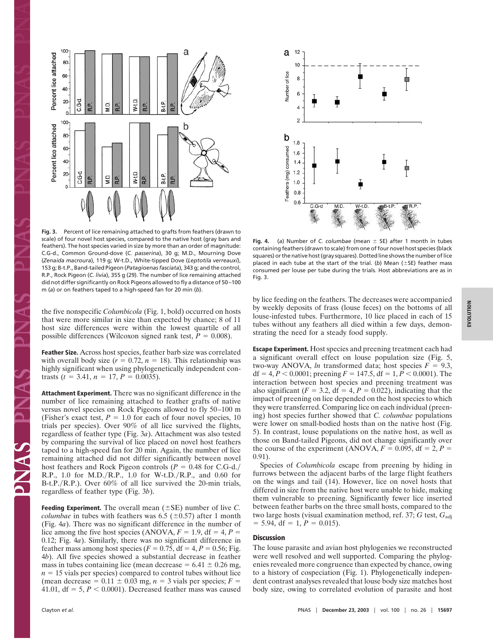

**Fig. 3.** Percent of lice remaining attached to grafts from feathers (drawn to scale) of four novel host species, compared to the native host (gray bars and feathers). The host species varied in size by more than an order of magnitude: C.G-d., Common Ground-dove (*C. passerina*), 30 g; M.D., Mourning Dove (*Zenaida macroura*), 119 g; W-t.D., White-tipped Dove (*Leptotila verreauxi*), 153 g; B-t.P., Band-tailed Pigeon (*Patagioenas fasciata*), 343 g; and the control, R.P., Rock Pigeon (*C. livia*), 355 g (29). The number of lice remaining attached did not differ significantly on Rock Pigeons allowed to fly a distance of 50–100 m (*a*) or on feathers taped to a high-speed fan for 20 min (*b*).

the five nonspecific *Columbicola* (Fig. 1, bold) occurred on hosts that were more similar in size than expected by chance; 8 of 11 host size differences were within the lowest quartile of all possible differences (Wilcoxon signed rank test,  $P = 0.008$ ).

**Feather Size.** Across host species, feather barb size was correlated with overall body size  $(r = 0.72, n = 18)$ . This relationship was highly significant when using phylogenetically independent contrasts  $(t = 3.41, n = 17, P = 0.0035)$ .

**Attachment Experiment.** There was no significant difference in the number of lice remaining attached to feather grafts of native versus novel species on Rock Pigeons allowed to fly 50–100 m (Fisher's exact test,  $P = 1.0$  for each of four novel species, 10 trials per species). Over 90% of all lice survived the flights, regardless of feather type (Fig. 3*a*). Attachment was also tested by comparing the survival of lice placed on novel host feathers taped to a high-speed fan for 20 min. Again, the number of lice remaining attached did not differ significantly between novel host feathers and Rock Pigeon controls  $(P = 0.48$  for C.G-d./ R.P., 1.0 for M.D./R.P., 1.0 for W-t.D./R.P., and 0.60 for B-t.P./R.P.). Over  $60\%$  of all lice survived the 20-min trials, regardless of feather type (Fig. 3*b*).

**Feeding Experiment.** The overall mean  $(\pm SE)$  number of live *C*. *columbae* in tubes with feathers was 6.5 ( $\pm$ 0.57) after 1 month (Fig. 4*a*). There was no significant difference in the number of lice among the five host species (ANOVA,  $F = 1.9$ , df = 4,  $P =$ 0.12; Fig. 4*a*). Similarly, there was no significant difference in feather mass among host species ( $F = 0.75$ , df = 4,  $P = 0.56$ ; Fig. 4*b*). All five species showed a substantial decrease in feather mass in tubes containing lice (mean decrease  $= 6.41 \pm 0.26$  mg,  $n = 15$  vials per species) compared to control tubes without lice (mean decrease  $= 0.11 \pm 0.03$  mg,  $n = 3$  vials per species;  $F =$  $41.01$ ,  $df = 5$ ,  $P < 0.0001$ ). Decreased feather mass was caused



Fig. 4. (a) Number of *C. columbae* (mean  $\pm$  SE) after 1 month in tubes containing feathers (drawn to scale) from one of four novel host species (black squares) or the native host (gray squares). Dotted line shows the number of lice placed in each tube at the start of the trial. ( $b$ ) Mean ( $\pm$ SE) feather mass consumed per louse per tube during the trials. Host abbreviations are as in Fig. 3.

by lice feeding on the feathers. The decreases were accompanied by weekly deposits of frass (louse feces) on the bottoms of all louse-infested tubes. Furthermore, 10 lice placed in each of 15 tubes without any feathers all died within a few days, demonstrating the need for a steady food supply.

**Escape Experiment.** Host species and preening treatment each had a significant overall effect on louse population size (Fig. 5, two-way ANOVA, *ln* transformed data; host species  $F = 9.3$ ,  $df = 4, P < 0.0001$ ; preening  $F = 147.5$ ,  $df = 1, P < 0.0001$ ). The interaction between host species and preening treatment was also significant ( $F = 3.2$ , df = 4,  $P = 0.022$ ), indicating that the impact of preening on lice depended on the host species to which they were transferred. Comparing lice on each individual (preening) host species further showed that *C. columbae* populations were lower on small-bodied hosts than on the native host (Fig. 5). In contrast, louse populations on the native host, as well as those on Band-tailed Pigeons, did not change significantly over the course of the experiment (ANOVA,  $F = 0.095$ , df = 2,  $P =$ 0.91).

Species of *Columbicola* escape from preening by hiding in furrows between the adjacent barbs of the large flight feathers on the wings and tail (14). However, lice on novel hosts that differed in size from the native host were unable to hide, making them vulnerable to preening. Significantly fewer lice inserted between feather barbs on the three small hosts, compared to the two large hosts (visual examination method, ref. 37; *G* test, *G*adj  $= 5.94$ , df  $= 1$ ,  $P = 0.015$ ).

## **Discussion**

The louse parasite and avian host phylogenies we reconstructed were well resolved and well supported. Comparing the phylogenies revealed more congruence than expected by chance, owing to a history of cospeciation (Fig. 1). Phylogenetically independent contrast analyses revealed that louse body size matches host body size, owing to correlated evolution of parasite and host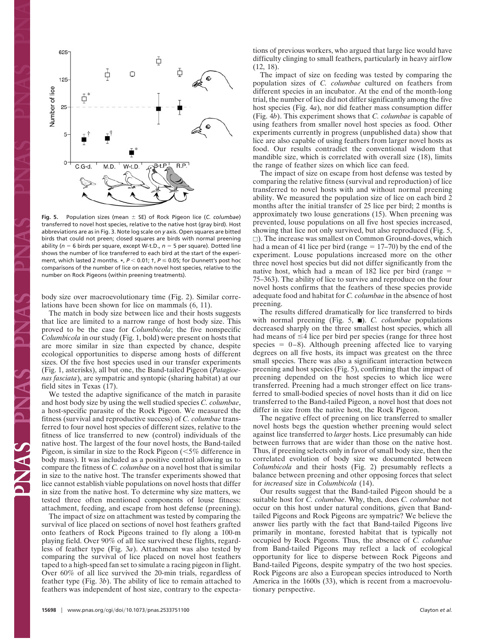

Fig. 5. Population sizes (mean  $\pm$  SE) of Rock Pigeon lice (*C. columbae*) transferred to novel host species, relative to the native host (gray bird). Host abbreviations are as in Fig. 3. Note log scale on *y* axis. Open squares are bitted birds that could not preen; closed squares are birds with normal preening ability (*n* = 6 birds per square, except W-t.D., *n* = 5 per square). Dotted line shows the number of lice transferred to each bird at the start of the experiment, which lasted 2 months.  $*$ ,  $P < 0.01$ ;  $\uparrow$ ,  $P \le 0.05$ ; for Dunnett's post hoc comparisons of the number of lice on each novel host species, relative to the number on Rock Pigeons (within preening treatments).

body size over macroevolutionary time (Fig. 2). Similar correlations have been shown for lice on mammals (6, 11).

The match in body size between lice and their hosts suggests that lice are limited to a narrow range of host body size. This proved to be the case for *Columbicola*; the five nonspecific *Columbicola* in our study (Fig. 1, bold) were present on hosts that are more similar in size than expected by chance, despite ecological opportunities to disperse among hosts of different sizes. Of the five host species used in our transfer experiments (Fig. 1, asterisks), all but one, the Band-tailed Pigeon (*Patagioenas fasciata*), are sympatric and syntopic (sharing habitat) at our field sites in Texas (17).

We tested the adaptive significance of the match in parasite and host body size by using the well studied species *C. columbae*, a host-specific parasite of the Rock Pigeon. We measured the fitness (survival and reproductive success) of *C. columbae* transferred to four novel host species of different sizes, relative to the fitness of lice transferred to new (control) individuals of the native host. The largest of the four novel hosts, the Band-tailed Pigeon, is similar in size to the Rock Pigeon  $\approx$  5% difference in body mass). It was included as a positive control allowing us to compare the fitness of *C. columbae* on a novel host that is similar in size to the native host. The transfer experiments showed that lice cannot establish viable populations on novel hosts that differ in size from the native host. To determine why size matters, we tested three often mentioned components of louse fitness: attachment, feeding, and escape from host defense (preening).

The impact of size on attachment was tested by comparing the survival of lice placed on sections of novel host feathers grafted onto feathers of Rock Pigeons trained to fly along a 100-m playing field. Over 90% of all lice survived these flights, regardless of feather type (Fig. 3*a*). Attachment was also tested by comparing the survival of lice placed on novel host feathers taped to a high-speed fan set to simulate a racing pigeon in flight. Over 60% of all lice survived the 20-min trials, regardless of feather type (Fig. 3*b*). The ability of lice to remain attached to feathers was independent of host size, contrary to the expectations of previous workers, who argued that large lice would have difficulty clinging to small feathers, particularly in heavy airflow (12, 18).

The impact of size on feeding was tested by comparing the population sizes of *C. columbae* cultured on feathers from different species in an incubator. At the end of the month-long trial, the number of lice did not differ significantly among the five host species (Fig. 4*a*), nor did feather mass consumption differ (Fig. 4*b*). This experiment shows that *C. columbae* is capable of using feathers from smaller novel host species as food. Other experiments currently in progress (unpublished data) show that lice are also capable of using feathers from larger novel hosts as food. Our results contradict the conventional wisdom that mandible size, which is correlated with overall size (18), limits the range of feather sizes on which lice can feed.

The impact of size on escape from host defense was tested by comparing the relative fitness (survival and reproduction) of lice transferred to novel hosts with and without normal preening ability. We measured the population size of lice on each bird 2 months after the initial transfer of 25 lice per bird; 2 months is approximately two louse generations (15). When preening was prevented, louse populations on all five host species increased, showing that lice not only survived, but also reproduced (Fig. 5, ). The increase was smallest on Common Ground-doves, which had a mean of 41 lice per bird (range  $= 17-70$ ) by the end of the experiment. Louse populations increased more on the other three novel host species but did not differ significantly from the native host, which had a mean of  $182$  lice per bird (range  $=$ 75–363). The ability of lice to survive and reproduce on the four novel hosts confirms that the feathers of these species provide adequate food and habitat for *C. columbae* in the absence of host preening.

The results differed dramatically for lice transferred to birds with normal preening (Fig.  $5$ ,  $\blacksquare$ ). *C. columbae* populations decreased sharply on the three smallest host species, which all had means of  $\leq$ 4 lice per bird per species (range for three host species  $= 0-8$ ). Although preening affected lice to varying degrees on all five hosts, its impact was greatest on the three small species. There was also a significant interaction between preening and host species (Fig. 5), confirming that the impact of preening depended on the host species to which lice were transferred. Preening had a much stronger effect on lice transferred to small-bodied species of novel hosts than it did on lice transferred to the Band-tailed Pigeon, a novel host that does not differ in size from the native host, the Rock Pigeon.

The negative effect of preening on lice transferred to smaller novel hosts begs the question whether preening would select against lice transferred to *larger* hosts. Lice presumably can hide between furrows that are wider than those on the native host. Thus, if preening selects only in favor of small body size, then the correlated evolution of body size we documented between *Columbicola* and their hosts (Fig. 2) presumably reflects a balance between preening and other opposing forces that select for *increased* size in *Columbicola* (14).

Our results suggest that the Band-tailed Pigeon should be a suitable host for *C. columbae*. Why, then, does *C. columbae* not occur on this host under natural conditions, given that Bandtailed Pigeons and Rock Pigeons are sympatric? We believe the answer lies partly with the fact that Band-tailed Pigeons live primarily in montane, forested habitat that is typically not occupied by Rock Pigeons. Thus, the absence of *C. columbae* from Band-tailed Pigeons may reflect a lack of ecological opportunity for lice to disperse between Rock Pigeons and Band-tailed Pigeons, despite sympatry of the two host species. Rock Pigeons are also a European species introduced to North America in the 1600s (33), which is recent from a macroevolutionary perspective.